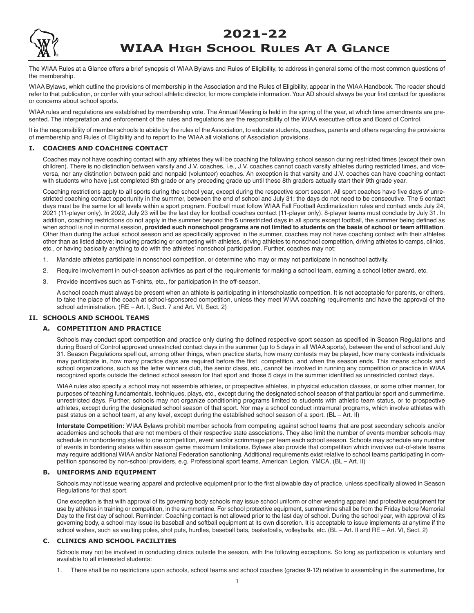## **2021-22**



# **WIAA HIGH SCHOOL RULES AT A GLANCE**

The WIAA Rules at a Glance offers a brief synopsis of WIAA Bylaws and Rules of Eligibility, to address in general some of the most common questions of the membership.

WIAA Bylaws, which outline the provisions of membership in the Association and the Rules of Eligibility, appear in the WIAA Handbook. The reader should refer to that publication, or confer with your school athletic director, for more complete information. Your AD should always be your first contact for questions or concerns about school sports.

WIAA rules and regulations are established by membership vote. The Annual Meeting is held in the spring of the year, at which time amendments are presented. The interpretation and enforcement of the rules and regulations are the responsibility of the WIAA executive office and Board of Control.

It is the responsibility of member schools to abide by the rules of the Association, to educate students, coaches, parents and others regarding the provisions of membership and Rules of Eligibility and to report to the WIAA all violations of Association provisions.

## **I. coAcHeS AnD coAcHIng contAct**

Coaches may not have coaching contact with any athletes they will be coaching the following school season during restricted times (except their own children). There is no distinction between varsity and J.V. coaches, i.e., J.V. coaches cannot coach varsity athletes during restricted times, and viceversa, nor any distinction between paid and nonpaid (volunteer) coaches. An exception is that varsity and J.V. coaches can have coaching contact with students who have just completed 8th grade or any preceding grade up until these 8th graders actually start their 9th grade year.

Coaching restrictions apply to all sports during the school year, except during the respective sport season. All sport coaches have five days of unrestricted coaching contact opportunity in the summer, between the end of school and July 31; the days do not need to be consecutive. The 5 contact days must be the same for all levels within a sport program. Football must follow WIAA Fall Football Acclimatization rules and contact ends July 24, 2021 (11-player only). In 2022, July 23 will be the last day for football coaches contact (11-player only). 8-player teams must conclude by July 31. In addition, coaching restrictions do not apply in the summer beyond the 5 unrestricted days in all sports except football, the summer being defined as when school is not in normal session, **provided such nonschool programs are not limited to students on the basis of school or team affiliation**. Other than during the actual school season and as specifically approved in the summer, coaches may not have coaching contact with their athletes other than as listed above; including practicing or competing with athletes, driving athletes to nonschool competition, driving athletes to camps, clinics, etc., or having basically anything to do with the athletes' nonschool participation. Further, coaches may not:

- 1. Mandate athletes participate in nonschool competition, or determine who may or may not participate in nonschool activity.
- 2. Require involvement in out-of-season activities as part of the requirements for making a school team, earning a school letter award, etc.
- 3. Provide incentives such as T-shirts, etc., for participation in the off-season.

A school coach must always be present when an athlete is participating in interscholastic competition. It is not acceptable for parents, or others, to take the place of the coach at school-sponsored competition, unless they meet WIAA coaching requirements and have the approval of the school administration. (RE – Art. I, Sect. 7 and Art. VI, Sect. 2)

## **II. ScHoolS AnD ScHool teAMS**

## **A. coMPetItIon AnD PRActIce**

Schools may conduct sport competition and practice only during the defined respective sport season as specified in Season Regulations and during Board of Control approved unrestricted contact days in the summer (up to 5 days in all WIAA sports), between the end of school and July 31. Season Regulations spell out, among other things, when practice starts, how many contests may be played, how many contests individuals may participate in, how many practice days are required before the first competition, and when the season ends. This means schools and school organizations, such as the letter winners club, the senior class, etc., cannot be involved in running any competition or practice in WIAA recognized sports outside the defined school season for that sport and those 5 days in the summer identified as unrestricted contact days.

WIAA rules also specify a school may not assemble athletes, or prospective athletes, in physical education classes, or some other manner, for purposes of teaching fundamentals, techniques, plays, etc., except during the designated school season of that particular sport and summertime, unrestricted days. Further, schools may not organize conditioning programs limited to students with athletic team status, or to prospective athletes, except during the designated school season of that sport. Nor may a school conduct intramural programs, which involve athletes with past status on a school team, at any level, except during the established school season of a sport. (BL – Art. II)

**Interstate Competition:** WIAA Bylaws prohibit member schools from competing against school teams that are post secondary schools and/or academies and schools that are not members of their respective state associations. They also limit the number of events member schools may schedule in nonbordering states to one competition, event and/or scrimmage per team each school season. Schools may schedule any number of events in bordering states within season game maximum limitations. Bylaws also provide that competition which involves out-of-state teams may require additional WIAA and/or National Federation sanctioning. Additional requirements exist relative to school teams participating in competition sponsored by non-school providers, e.g. Professional sport teams, American Legion, YMCA, (BL – Art. II)

## **B. unIFoRMS AnD eQuIPMent**

Schools may not issue wearing apparel and protective equipment prior to the first allowable day of practice, unless specifically allowed in Season Regulations for that sport.

One exception is that with approval of its governing body schools may issue school uniform or other wearing apparel and protective equipment for use by athletes in training or competition, in the summertime. For school protective equipment, summertime shall be from the Friday before Memorial Day to the first day of school. Reminder: Coaching contact is not allowed prior to the last day of school. During the school year, with approval of its governing body, a school may issue its baseball and softball equipment at its own discretion. It is acceptable to issue implements at anytime if the school wishes, such as vaulting poles, shot puts, hurdles, baseball bats, basketballs, volleyballs, etc. (BL – Art. II and RE – Art. VI, Sect. 2)

## **c. clInIcS AnD ScHool FAcIlItIeS**

Schools may not be involved in conducting clinics outside the season, with the following exceptions. So long as participation is voluntary and available to all interested students:

1. There shall be no restrictions upon schools, school teams and school coaches (grades 9-12) relative to assembling in the summertime, for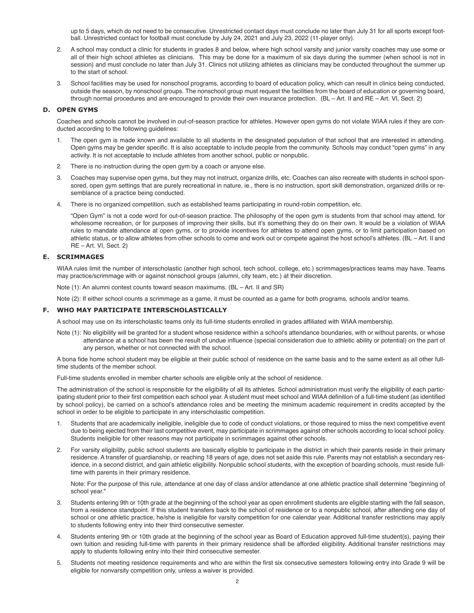up to 5 days, which do not need to be consecutive. Unrestricted contact days must conclude no later than July 31 for all sports except football. Unrestricted contact for football must conclude by July 24, 2021 and July 23, 2022 (11-player only).

- 2. A school may conduct a clinic for students in grades 8 and below, where high school varsity and junior varsity coaches may use some or all of their high school athletes as clinicians. This may be done for a maximum of six days during the summer (when school is not in session) and must conclude no later than July 31. Clinics not utilizing athletes as clinicians may be conducted throughout the summer up to the start of school.
- 3. School facilities may be used for nonschool programs, according to board of education policy, which can result in clinics being conducted, outside the season, by nonschool groups. The nonschool group must request the facilities from the board of education or governing board, through normal procedures and are encouraged to provide their own insurance protection. (BL – Art. II and RE – Art. VI, Sect. 2)

## **D. oPen gYMS**

Coaches and schools cannot be involved in out-of-season practice for athletes. However open gyms do not violate WIAA rules if they are conducted according to the following guidelines:

- 1. The open gym is made known and available to all students in the designated population of that school that are interested in attending. Open gyms may be gender specific. It is also acceptable to include people from the community. Schools may conduct "open gyms" in any activity. It is not acceptable to include athletes from another school, public or nonpublic.
- 2. There is no instruction during the open gym by a coach or anyone else.
- 3. Coaches may supervise open gyms, but they may not instruct, organize drills, etc. Coaches can also recreate with students in school sponsored, open gym settings that are purely recreational in nature, ie., there is no instruction, sport skill demonstration, organized drills or resemblance of a practice being conducted.
- 4. There is no organized competition, such as established teams participating in round-robin competition, etc.

"Open Gym" is not a code word for out-of-season practice. The philosophy of the open gym is students from that school may attend, for wholesome recreation, or for purposes of improving their skills, but it's something they do on their own. It would be a violation of WIAA rules to mandate attendance at open gyms, or to provide incentives for athletes to attend open gyms, or to limit participation based on athletic status, or to allow athletes from other schools to come and work out or compete against the host school's athletes. (BL – Art. II and RE – Art. VI, Sect. 2)

## **e. ScRIMMAgeS**

WIAA rules limit the number of interscholastic (another high school, tech school, college, etc.) scrimmages/practices teams may have. Teams may practice/scrimmage with or against nonschool groups (alumni, city team, etc.) at their discretion.

Note (1): An alumni contest counts toward season maximums. (BL – Art. II and SR)

Note (2): If either school counts a scrimmage as a game, it must be counted as a game for both programs, schools and/or teams.

## **F. WHo MAY PARtIcIPAte InteRScHolAStIcAllY**

A school may use on its interscholastic teams only its full-time students enrolled in grades affiliated with WIAA membership.

Note (1): No eligibility will be granted for a student whose residence within a school's attendance boundaries, with or without parents, or whose attendance at a school has been the result of undue influence (special consideration due to athletic ability or potential) on the part of any person, whether or not connected with the school.

A bona fide home school student may be eligible at their public school of residence on the same basis and to the same extent as all other fulltime students of the member school.

Full-time students enrolled in member charter schools are eligible only at the school of residence.

The administration of the school is responsible for the eligibility of all its athletes. School administration must verify the eligibility of each participating student prior to their first competition each school year. A student must meet school and WIAA definition of a full-time student (as identified by school policy), be carried on a school's attendance roles and be meeting the minimum academic requirement in credits accepted by the school in order to be eligible to participate in any interscholastic competition.

- 1. Students that are academically ineligible, ineligible due to code of conduct violations, or those required to miss the next competitive event due to being ejected from their last competitive event, may participate in scrimmages against other schools according to local school policy. Students ineligible for other reasons may not participate in scrimmages against other schools.
- 2. For varsity eligibility, public school students are basically eligible to participate in the district in which their parents reside in their primary residence. A transfer of guardianship, or reaching 18 years of age, does not set aside this rule. Parents may not establish a secondary residence, in a second district, and gain athletic eligibility. Nonpublic school students, with the exception of boarding schools, must reside fulltime with parents in their primary residence.

Note: For the purpose of this rule, attendance at one day of class and/or attendance at one athletic practice shall determine "beginning of school year."

- 3. Students entering 9th or 10th grade at the beginning of the school year as open enrollment students are eligible starting with the fall season, from a residence standpoint. If this student transfers back to the school of residence or to a nonpublic school, after attending one day of school or one athletic practice, he/she is ineligible for varsity competition for one calendar year. Additional transfer restrictions may apply to students following entry into their third consecutive semester.
- 4. Students entering 9th or 10th grade at the beginning of the school year as Board of Education approved full-time student(s), paying their own tuition and residing full-time with parents in their primary residence shall be afforded eligibility. Additional transfer restrictions may apply to students following entry into their third consecutive semester.
- 5. Students not meeting residence requirements and who are within the first six consecutive semesters following entry into Grade 9 will be eligible for nonvarsity competition only, unless a waiver is provided.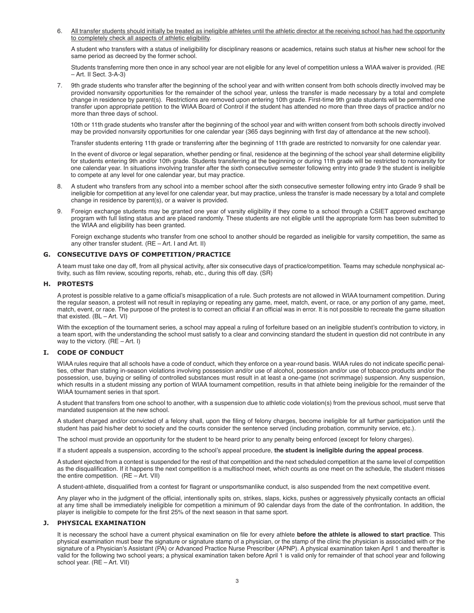6. All transfer students should initially be treated as ineligible athletes until the athletic director at the receiving school has had the opportunity to completely check all aspects of athletic eligibility.

A student who transfers with a status of ineligibility for disciplinary reasons or academics, retains such status at his/her new school for the same period as decreed by the former school.

Students transferring more then once in any school year are not eligible for any level of competition unless a WIAA waiver is provided. (RE – Art. II Sect. 3-A-3)

7. 9th grade students who transfer after the beginning of the school year and with written consent from both schools directly involved may be provided nonvarsity opportunities for the remainder of the school year, unless the transfer is made necessary by a total and complete change in residence by parent(s). Restrictions are removed upon entering 10th grade. First-time 9th grade students will be permitted one transfer upon appropriate petition to the WIAA Board of Control if the student has attended no more than three days of practice and/or no more than three days of school.

10th or 11th grade students who transfer after the beginning of the school year and with written consent from both schools directly involved may be provided nonvarsity opportunities for one calendar year (365 days beginning with first day of attendance at the new school).

Transfer students entering 11th grade or transferring after the beginning of 11th grade are restricted to nonvarsity for one calendar year.

In the event of divorce or legal separation, whether pending or final, residence at the beginning of the school year shall determine eligibility for students entering 9th and/or 10th grade. Students transferring at the beginning or during 11th grade will be restricted to nonvarsity for one calendar year. In situations involving transfer after the sixth consecutive semester following entry into grade 9 the student is ineligible to compete at any level for one calendar year, but may practice.

- 8. A student who transfers from any school into a member school after the sixth consecutive semester following entry into Grade 9 shall be ineligible for competition at any level for one calendar year, but may practice, unless the transfer is made necessary by a total and complete change in residence by parent(s), or a waiver is provided.
- 9. Foreign exchange students may be granted one year of varsity eligibility if they come to a school through a CSIET approved exchange program with full listing status and are placed randomly. These students are not eligible until the appropriate form has been submitted to the WIAA and eligibility has been granted.

Foreign exchange students who transfer from one school to another should be regarded as ineligible for varsity competition, the same as any other transfer student. (RE – Art. I and Art. II)

## **g. conSecutIVe DAYS oF coMPetItIon/PRActIce**

A team must take one day off, from all physical activity, after six consecutive days of practice/competition. Teams may schedule nonphysical activity, such as film review, scouting reports, rehab, etc., during this off day. (SR)

#### **H. PRoteStS**

A protest is possible relative to a game official's misapplication of a rule. Such protests are not allowed in WIAA tournament competition. During the regular season, a protest will not result in replaying or repeating any game, meet, match, event, or race, or any portion of any game, meet, match, event, or race. The purpose of the protest is to correct an official if an official was in error. It is not possible to recreate the game situation that existed. (BL – Art. VI)

With the exception of the tournament series, a school may appeal a ruling of forfeiture based on an ineligible student's contribution to victory, in a team sport, with the understanding the school must satisfy to a clear and convincing standard the student in question did not contribute in any way to the victory. (RE – Art. I)

## **I. coDe oF conDuct**

WIAA rules require that all schools have a code of conduct, which they enforce on a year-round basis. WIAA rules do not indicate specific penalties, other than stating in-season violations involving possession and/or use of alcohol, possession and/or use of tobacco products and/or the possession, use, buying or selling of controlled substances must result in at least a one-game (not scrimmage) suspension. Any suspension, which results in a student missing any portion of WIAA tournament competition, results in that athlete being ineligible for the remainder of the WIAA tournament series in that sport.

A student that transfers from one school to another, with a suspension due to athletic code violation(s) from the previous school, must serve that mandated suspension at the new school.

A student charged and/or convicted of a felony shall, upon the filing of felony charges, become ineligible for all further participation until the student has paid his/her debt to society and the courts consider the sentence served (including probation, community service, etc.).

The school must provide an opportunity for the student to be heard prior to any penalty being enforced (except for felony charges).

If a student appeals a suspension, according to the school's appeal procedure, **the student is ineligible during the appeal process**.

A student ejected from a contest is suspended for the rest of that competition and the next scheduled competition at the same level of competition as the disqualification. If it happens the next competition is a multischool meet, which counts as one meet on the schedule, the student misses the entire competition. (RE – Art. VII)

A student-athlete, disqualified from a contest for flagrant or unsportsmanlike conduct, is also suspended from the next competitive event.

Any player who in the judgment of the official, intentionally spits on, strikes, slaps, kicks, pushes or aggressively physically contacts an official at any time shall be immediately ineligible for competition a minimum of 90 calendar days from the date of the confrontation. In addition, the player is ineligible to compete for the first 25% of the next season in that same sport.

#### **J. PHYSIcAl eXAMInAtIon**

It is necessary the school have a current physical examination on file for every athlete **before the athlete is allowed to start practice**. This physical examination must bear the signature or signature stamp of a physician, or the stamp of the clinic the physician is associated with or the signature of a Physician's Assistant (PA) or Advanced Practice Nurse Prescriber (APNP). A physical examination taken April 1 and thereafter is valid for the following two school years; a physical examination taken before April 1 is valid only for remainder of that school year and following school year. (RE – Art. VII)